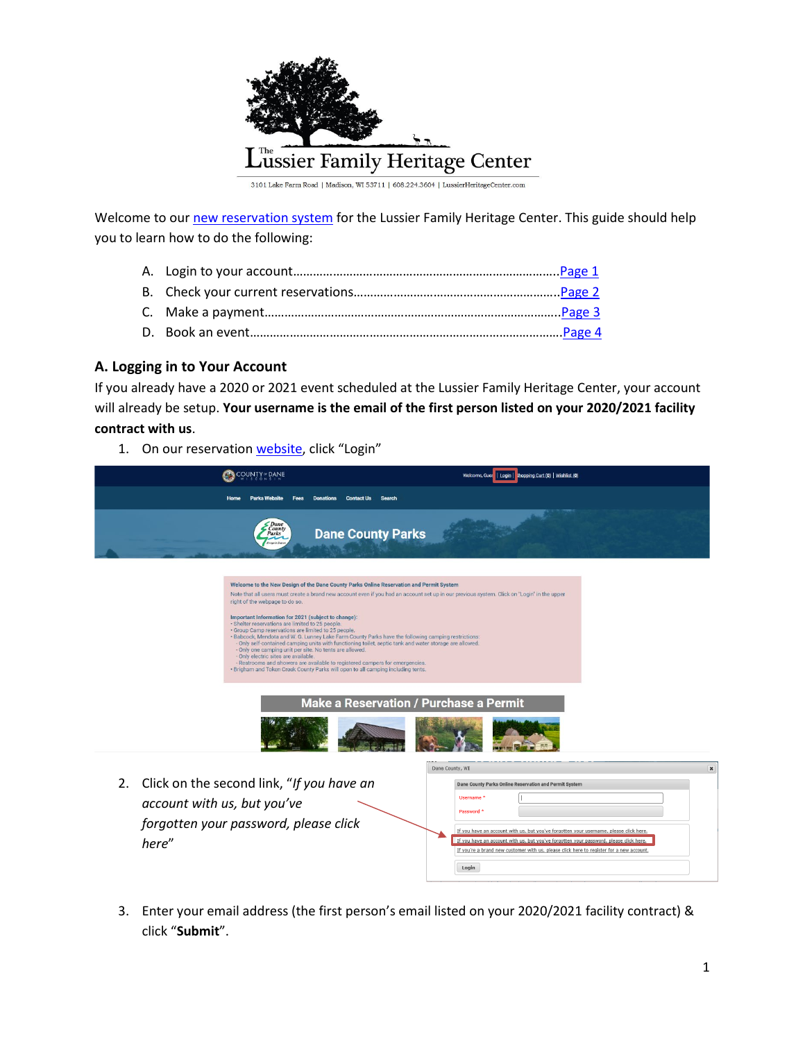

Welcome to our [new reservation system](https://web2.vermontsystems.com/wbwsc/widanectywt.wsc/splash.html?InterfaceParameter=WebTrac) for the Lussier Family Heritage Center. This guide should help you to learn how to do the following:

- A. Login to your account…………………………………………………………………….[.Page 1](#page-0-0)
- B. Check your current reservations…………………………………………………….[.Page 2](#page-1-0) C. Make a payment…………………………………………………………………………….[.Page 3](#page-1-1)
- D. Book an event…………………………………………………………………………………[.Page 4](#page-2-0)

## <span id="page-0-0"></span>**A. Logging in to Your Account**

If you already have a 2020 or 2021 event scheduled at the Lussier Family Heritage Center, your account will already be setup. **Your username is the email of the first person listed on your 2020/2021 facility contract with us**.

1. On our reservation [website,](https://web2.vermontsystems.com/wbwsc/widanectywt.wsc/splash.html?InterfaceParameter=WebTrac) click "Login"

| COUNTY <sup>®</sup> DANE                                                                                                                                                                                                                                                                                                                                                                                                                                                                                                                                                                                                                                                                                                                                                                                                                                                                                                                                                      | Welcome, Gues   Login   shopping Cart (0)   Wishlist (0)                                                                                                                                                                                                                                                                                                                                                                    |  |  |  |  |  |  |  |  |
|-------------------------------------------------------------------------------------------------------------------------------------------------------------------------------------------------------------------------------------------------------------------------------------------------------------------------------------------------------------------------------------------------------------------------------------------------------------------------------------------------------------------------------------------------------------------------------------------------------------------------------------------------------------------------------------------------------------------------------------------------------------------------------------------------------------------------------------------------------------------------------------------------------------------------------------------------------------------------------|-----------------------------------------------------------------------------------------------------------------------------------------------------------------------------------------------------------------------------------------------------------------------------------------------------------------------------------------------------------------------------------------------------------------------------|--|--|--|--|--|--|--|--|
| <b>Parks Website</b><br><b>Fees</b><br>Donations<br><b>Contact Us</b><br>Search<br>Home                                                                                                                                                                                                                                                                                                                                                                                                                                                                                                                                                                                                                                                                                                                                                                                                                                                                                       |                                                                                                                                                                                                                                                                                                                                                                                                                             |  |  |  |  |  |  |  |  |
| <b>Dane</b><br>County<br><b>Dane County Parks</b><br>Parks                                                                                                                                                                                                                                                                                                                                                                                                                                                                                                                                                                                                                                                                                                                                                                                                                                                                                                                    |                                                                                                                                                                                                                                                                                                                                                                                                                             |  |  |  |  |  |  |  |  |
| Welcome to the New Design of the Dane County Parks Online Reservation and Permit System<br>Note that all users must create a brand new account even if you had an account set up in our previous system. Click on "Login" in the upper<br>right of the webpage to do so.<br>Important Information for 2021 (subject to change):<br>· Shelter reservations are limited to 25 people.<br>· Group Camp reservations are limited to 25 people.<br>. Babcock, Mendota and W. G. Lunney Lake Farm County Parks have the following camping restrictions:<br>- Only self-contained camping units with functioning toilet, septic tank and water storage are allowed.<br>- Only one camping unit per site. No tents are allowed.<br>- Only electric sites are available.<br>- Restrooms and showers are available to registered campers for emergencies.<br>. Brigham and Token Creek County Parks will open to all camping including tents.<br>Make a Reservation / Purchase a Permit |                                                                                                                                                                                                                                                                                                                                                                                                                             |  |  |  |  |  |  |  |  |
| Click on the second link, "If you have an<br>2.<br>account with us, but you've<br>forgotten your password, please click<br>here"                                                                                                                                                                                                                                                                                                                                                                                                                                                                                                                                                                                                                                                                                                                                                                                                                                              | Dane County, WI<br>$\pmb{\times}$<br>Dane County Parks Online Reservation and Permit System<br>Username <sup>+</sup><br>Password *<br>If you have an account with us, but you've forgotten your username, please click here.<br>If you have an account with us, but you've forgotten your password, please click here.<br>If you're a brand new customer with us, please click here to register for a new account.<br>Login |  |  |  |  |  |  |  |  |

3. Enter your email address (the first person's email listed on your 2020/2021 facility contract) & click "**Submit**".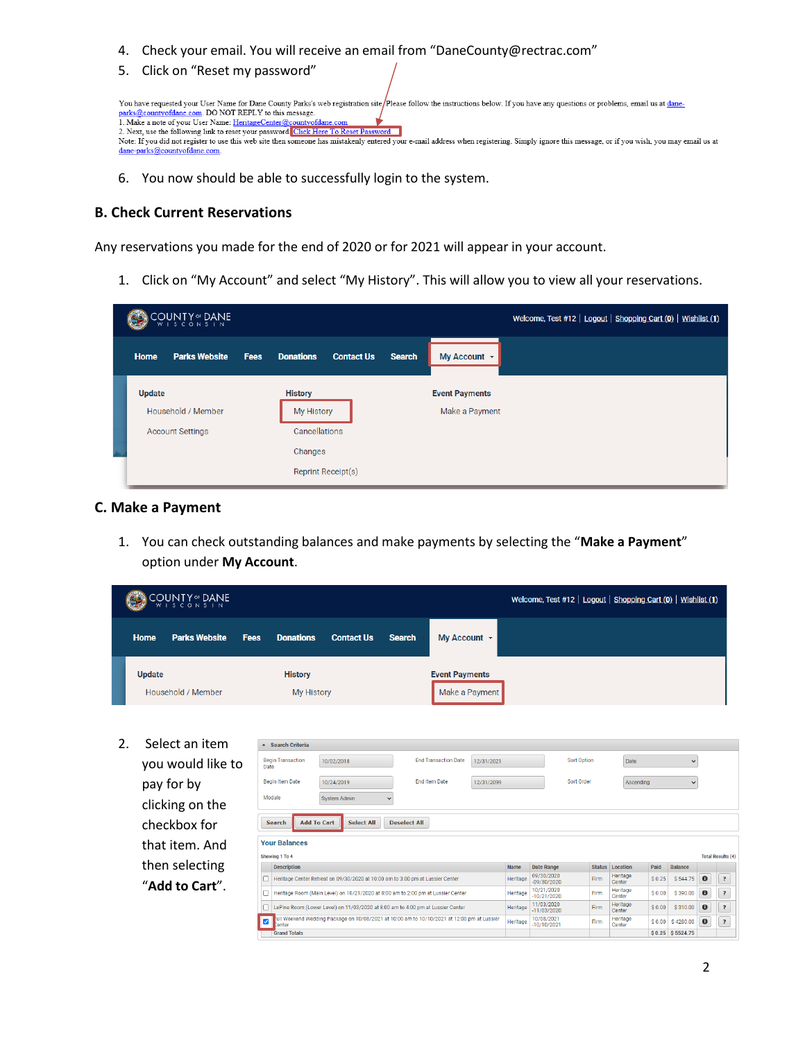- 4. Check your email. You will receive an email from "DaneCounty@rectrac.com"
- 5. Click on "Reset my password"



6. You now should be able to successfully login to the system.

## <span id="page-1-0"></span>**B. Check Current Reservations**

Any reservations you made for the end of 2020 or for 2021 will appear in your account.

1. Click on "My Account" and select "My History". This will allow you to view all your reservations.

| COUNTY OF DANE                                          |                                                                                       |                                         | Welcome, Test #12   Logout   Shopping Cart (0)   Wishlist (1) |
|---------------------------------------------------------|---------------------------------------------------------------------------------------|-----------------------------------------|---------------------------------------------------------------|
| <b>Parks Website</b><br><b>Fees</b><br>Home             | <b>Donations</b><br><b>Contact Us</b><br><b>Search</b>                                | My Account ~                            |                                                               |
| Update<br>Household / Member<br><b>Account Settings</b> | <b>History</b><br>My History<br>Cancellations<br>Changes<br><b>Reprint Receipt(s)</b> | <b>Event Payments</b><br>Make a Payment |                                                               |

## <span id="page-1-1"></span>**C. Make a Payment**

1. You can check outstanding balances and make payments by selecting the "**Make a Payment**" option under **My Account**.

| <b>COUNTY<sup>®</sup> DANE</b>   |                                                                                                                                           |                                     |             |                                                                                                          |                   |               |                                         |            |             |                             |             |      | Welcome, Test #12   Logout   Shopping Cart (0)   Wishlist (1) |        |                    |           |                          |
|----------------------------------|-------------------------------------------------------------------------------------------------------------------------------------------|-------------------------------------|-------------|----------------------------------------------------------------------------------------------------------|-------------------|---------------|-----------------------------------------|------------|-------------|-----------------------------|-------------|------|---------------------------------------------------------------|--------|--------------------|-----------|--------------------------|
|                                  | <b>Home</b>                                                                                                                               | <b>Parks Website</b>                | <b>Fees</b> | <b>Donations</b>                                                                                         | <b>Contact Us</b> | <b>Search</b> | My Account +                            |            |             |                             |             |      |                                                               |        |                    |           |                          |
|                                  | Update                                                                                                                                    | Household / Member                  |             | <b>History</b><br><b>My History</b>                                                                      |                   |               | <b>Event Payments</b><br>Make a Payment |            |             |                             |             |      |                                                               |        |                    |           |                          |
| 2.                               |                                                                                                                                           | Select an item<br>- Search Criteria |             |                                                                                                          |                   |               |                                         |            |             |                             |             |      |                                                               |        |                    |           |                          |
| you would like to<br>pay for by  |                                                                                                                                           |                                     |             | <b>Begin Transaction</b><br>Date                                                                         | 10/02/2018        |               | <b>End Transaction Date</b>             | 12/31/2021 |             |                             | Sort Option |      | Date                                                          |        | $\checkmark$       |           |                          |
|                                  |                                                                                                                                           |                                     |             | <b>Begin Item Date</b>                                                                                   | 10/24/2019        |               | <b>End Item Date</b>                    | 12/31/2099 |             |                             | Sort Order  |      | Ascending                                                     |        | $\checkmark$       |           |                          |
|                                  | Module<br>clicking on the                                                                                                                 |                                     |             |                                                                                                          | System Admin      |               |                                         |            |             |                             |             |      |                                                               |        |                    |           |                          |
|                                  | <b>Add To Cart</b><br><b>Select All</b><br><b>Deselect All</b><br>checkbox for<br><b>Search</b><br><b>Your Balances</b><br>that item. And |                                     |             |                                                                                                          |                   |               |                                         |            |             |                             |             |      |                                                               |        |                    |           |                          |
|                                  |                                                                                                                                           |                                     |             |                                                                                                          |                   |               |                                         |            |             |                             |             |      |                                                               |        |                    |           |                          |
| then selecting<br>"Add to Cart". |                                                                                                                                           |                                     |             | Showing 1 To 4<br><b>Description</b>                                                                     |                   |               |                                         |            | <b>Name</b> | <b>Date Range</b>           |             |      | <b>Status</b> Location                                        | Paid   | <b>Balance</b>     |           | <b>Total Results (4)</b> |
|                                  |                                                                                                                                           |                                     |             | Heritage Center Retreat on 09/30/2020 at 10:00 am to 3:00 pm at Lussier Center                           |                   |               |                                         |            | Heritage    | 09/30/2020<br>$-09/30/2020$ |             | Firm | Heritage<br>Center                                            | \$0.25 | \$544.75           | $\bullet$ | ?                        |
|                                  |                                                                                                                                           |                                     |             | Heritage Room (Main Level) on 10/21/2020 at 8:00 am to 2:00 pm at Lussier Center<br>П                    |                   |               |                                         |            | Heritage    | 10/21/2020<br>$-10/21/2020$ |             | Firm | Heritage<br>Center                                            | \$0.00 | \$390.00           | $\bullet$ | $\overline{\cdot}$       |
|                                  |                                                                                                                                           |                                     |             | LePine Room (Lower Level) on 11/03/2020 at 8:00 am to 4:00 pm at Lussier Center                          |                   |               |                                         |            | Heritage    | 11/03/2020<br>$-11/03/2020$ |             | Firm | Heritage<br>Center                                            | \$0.00 | \$310.00           | $\bf{0}$  | $\overline{\cdot}$       |
|                                  |                                                                                                                                           |                                     |             | ull Weekend Wedding Package on 10/08/2021 at 10:00 am to 10/10/2021 at 12:00 pm at Lussier<br>V<br>enter |                   |               |                                         |            |             | 10/08/2021<br>$-10/10/2021$ |             | Firm | Heritage<br>Center                                            | \$0.00 | \$4280.00          | $\bullet$ | $\overline{\cdot}$       |
|                                  |                                                                                                                                           | <b>Grand Totals</b>                 |             |                                                                                                          |                   |               |                                         |            |             |                             |             |      |                                                               |        | $$0.25$ $$5524.75$ |           |                          |